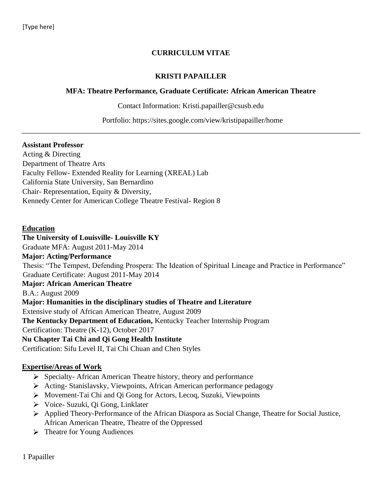#### **CURRICULUM VITAE**

#### **KRISTI PAPAILLER**

#### **MFA: Theatre Performance, Graduate Certificate: African American Theatre**

Contact Information: Kristi.papailler@csusb.edu

Portfolio: https://sites.google.com/view/kristipapailler/home

#### **Assistant Professor**

Acting & Directing Department of Theatre Arts Faculty Fellow- Extended Reality for Learning (XREAL) Lab California State University, San Bernardino Chair- Representation, Equity & Diversity, Kennedy Center for American College Theatre Festival- Region 8

#### **Education**

#### **The University of Louisville- Louisville KY**

Graduate MFA: August 2011-May 2014

**Major: Acting/Performance**  Thesis: "The Tempest, Defending Prospera: The Ideation of Spiritual Lineage and Practice in Performance" Graduate Certificate: August 2011-May 2014

#### **Major: African American Theatre**

B.A.: August 2009

**Major: Humanities in the disciplinary studies of Theatre and Literature** 

Extensive study of African American Theatre, August 2009

**The Kentucky Department of Education,** Kentucky Teacher Internship Program

Certification: Theatre (K-12), October 2017

#### **Nu Chapter Tai Chi and Qi Gong Health Institute**

Certification: Sifu Level II, Tai Chi Chuan and Chen Styles

#### **Expertise/Areas of Work**

- $\triangleright$  Specialty- African American Theatre history, theory and performance
- Acting- Stanislavsky, Viewpoints, African American performance pedagogy
- Movement-Tai Chi and Qi Gong for Actors, Lecoq, Suzuki, Viewpoints
- Voice- Suzuki, Qi Gong, Linklater
- Applied Theory-Performance of the African Diaspora as Social Change, Theatre for Social Justice, African American Theatre, Theatre of the Oppressed
- > Theatre for Young Audiences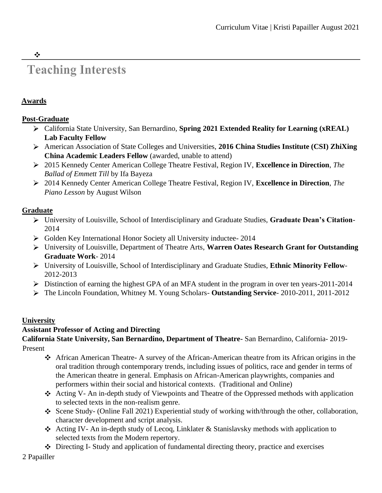# **Teaching Interests**

# **Awards**

 $\frac{1}{2}$ 

#### **Post-Graduate**

- California State University, San Bernardino, **Spring 2021 Extended Reality for Learning (xREAL) Lab Faculty Fellow**
- American Association of State Colleges and Universities, **2016 China Studies Institute (CSI) ZhiXing China Academic Leaders Fellow** (awarded, unable to attend)
- 2015 Kennedy Center American College Theatre Festival, Region IV, **Excellence in Direction**, *The Ballad of Emmett Till* by Ifa Bayeza
- 2014 Kennedy Center American College Theatre Festival, Region IV, **Excellence in Direction**, *The Piano Lesson* by August Wilson

#### **Graduate**

- University of Louisville, School of Interdisciplinary and Graduate Studies, **Graduate Dean's Citation**-2014
- Golden Key International Honor Society all University inductee- 2014
- University of Louisville, Department of Theatre Arts, **Warren Oates Research Grant for Outstanding Graduate Work**- 2014
- University of Louisville, School of Interdisciplinary and Graduate Studies, **Ethnic Minority Fellow**-2012-2013
- Distinction of earning the highest GPA of an MFA student in the program in over ten years-2011-2014
- The Lincoln Foundation, Whitney M. Young Scholars- **Outstanding Service** 2010-2011, 2011-2012

#### **University**

#### **Assistant Professor of Acting and Directing**

**California State University, San Bernardino, Department of Theatre-** San Bernardino, California- 2019- Present

- African American Theatre- A survey of the African-American theatre from its African origins in the oral tradition through contemporary trends, including issues of politics, race and gender in terms of the American theatre in general. Emphasis on African-American playwrights, companies and performers within their social and historical contexts. (Traditional and Online)
- Acting V- An in-depth study of Viewpoints and Theatre of the Oppressed methods with application to selected texts in the non-realism genre.
- Scene Study- (Online Fall 2021) Experiential study of working with/through the other, collaboration, character development and script analysis.
- Acting IV- An in-depth study of Lecoq, Linklater & Stanislavsky methods with application to selected texts from the Modern repertory.
- $\div$  Directing I- Study and application of fundamental directing theory, practice and exercises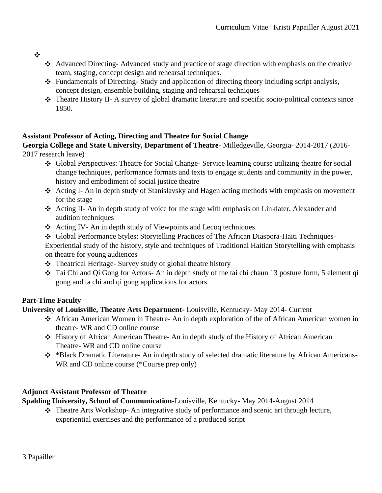❖

- Advanced Directing- Advanced study and practice of stage direction with emphasis on the creative team, staging, concept design and rehearsal techniques.
- $\div$  Fundamentals of Directing- Study and application of directing theory including script analysis, concept design, ensemble building, staging and rehearsal techniques
- Theatre History II- A survey of global dramatic literature and specific socio-political contexts since 1850.

# **Assistant Professor of Acting, Directing and Theatre for Social Change**

**Georgia College and State University, Department of Theatre-** Milledgeville, Georgia- 2014-2017 (2016- 2017 research leave)

- Global Perspectives: Theatre for Social Change- Service learning course utilizing theatre for social change techniques, performance formats and texts to engage students and community in the power, history and embodiment of social justice theatre
- Acting I- An in depth study of Stanislavsky and Hagen acting methods with emphasis on movement for the stage
- Acting II- An in depth study of voice for the stage with emphasis on Linklater, Alexander and audition techniques
- Acting IV- An in depth study of Viewpoints and Lecoq techniques.
- Global Performance Styles: Storytelling Practices of The African Diaspora-Haiti Techniques-

Experiential study of the history, style and techniques of Traditional Haitian Storytelling with emphasis on theatre for young audiences

- Theatrical Heritage- Survey study of global theatre history
- Tai Chi and Qi Gong for Actors- An in depth study of the tai chi chaun 13 posture form, 5 element qi gong and ta chi and qi gong applications for actors

# **Part-Time Faculty**

# **University of Louisville, Theatre Arts Department-** Louisville, Kentucky- May 2014- Current

- African American Women in Theatre- An in depth exploration of the of African American women in theatre- WR and CD online course
- History of African American Theatre- An in depth study of the History of African American Theatre- WR and CD online course
- \*Black Dramatic Literature- An in depth study of selected dramatic literature by African Americans-WR and CD online course (\*Course prep only)

# **Adjunct Assistant Professor of Theatre**

**Spalding University, School of Communication-**Louisville, Kentucky- May 2014-August 2014

Theatre Arts Workshop- An integrative study of performance and scenic art through lecture, experiential exercises and the performance of a produced script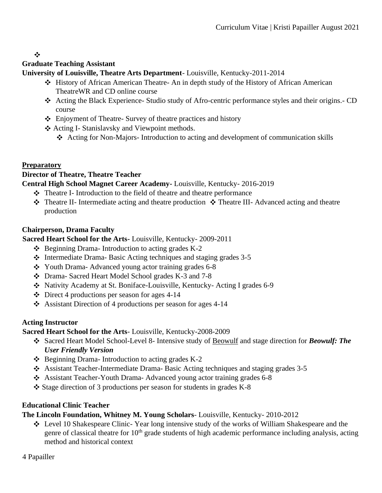$\mathbf{r}^{\star}_{\bullet}$ 

# **Graduate Teaching Assistant**

**University of Louisville, Theatre Arts Department**- Louisville, Kentucky-2011-2014

- History of African American Theatre- An in depth study of the History of African American TheatreWR and CD online course
- Acting the Black Experience- Studio study of Afro-centric performance styles and their origins.- CD course
- Enjoyment of Theatre- Survey of theatre practices and history
- Acting I- Stanislavsky and Viewpoint methods.
	- Acting for Non-Majors- Introduction to acting and development of communication skills

# **Preparatory**

# **Director of Theatre, Theatre Teacher**

**Central High School Magnet Career Academy-** Louisville, Kentucky- 2016-2019

- Theatre I- Introduction to the field of theatre and theatre performance
- $\cdot \cdot$  Theatre II- Intermediate acting and theatre production  $\cdot \cdot$  Theatre III- Advanced acting and theatre production

# **Chairperson, Drama Faculty**

**Sacred Heart School for the Arts-** Louisville, Kentucky- 2009-2011

- $\triangle$  Beginning Drama- Introduction to acting grades K-2
- $\div$  Intermediate Drama-Basic Acting techniques and staging grades 3-5
- \* Youth Drama- Advanced young actor training grades 6-8
- Drama- Sacred Heart Model School grades K-3 and 7-8
- Nativity Academy at St. Boniface-Louisville, Kentucky- Acting I grades 6-9
- $\div$  Direct 4 productions per season for ages 4-14
- $\triangle$  Assistant Direction of 4 productions per season for ages 4-14

# **Acting Instructor**

**Sacred Heart School for the Arts**- Louisville, Kentucky-2008-2009

- Sacred Heart Model School-Level 8- Intensive study of Beowulf and stage direction for *Beowulf: The User Friendly Version*
- $\div$  Beginning Drama- Introduction to acting grades K-2
- Assistant Teacher-Intermediate Drama- Basic Acting techniques and staging grades 3-5
- Assistant Teacher-Youth Drama- Advanced young actor training grades 6-8
- $\div$  Stage direction of 3 productions per season for students in grades K-8

# **Educational Clinic Teacher**

# **The Lincoln Foundation, Whitney M. Young Scholars**- Louisville, Kentucky- 2010-2012

Level 10 Shakespeare Clinic- Year long intensive study of the works of William Shakespeare and the genre of classical theatre for 10<sup>th</sup> grade students of high academic performance including analysis, acting method and historical context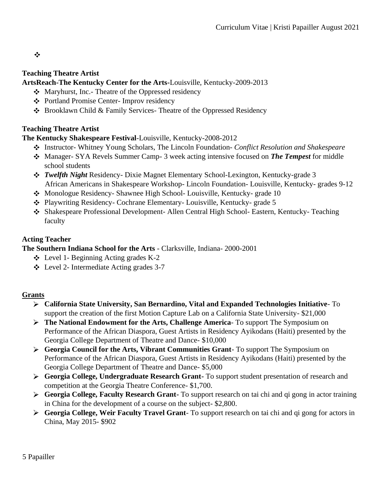❖

#### **Teaching Theatre Artist**

#### **ArtsReach-The Kentucky Center for the Arts-**Louisville, Kentucky-2009-2013

- Maryhurst, Inc.- Theatre of the Oppressed residency
- Portland Promise Center- Improv residency
- Brooklawn Child & Family Services- Theatre of the Oppressed Residency

#### **Teaching Theatre Artist**

#### **The Kentucky Shakespeare Festival**-Louisville, Kentucky-2008-2012

- Instructor- Whitney Young Scholars, The Lincoln Foundation- *Conflict Resolution and Shakespeare*
- Manager- SYA Revels Summer Camp- 3 week acting intensive focused on *The Tempest* for middle school students
- *Twelfth Night* Residency- Dixie Magnet Elementary School-Lexington, Kentucky-grade 3 African Americans in Shakespeare Workshop- Lincoln Foundation- Louisville, Kentucky- grades 9-12
- Monologue Residency- Shawnee High School- Louisville, Kentucky- grade 10
- Playwriting Residency- Cochrane Elementary- Louisville, Kentucky- grade 5
- Shakespeare Professional Development- Allen Central High School- Eastern, Kentucky- Teaching faculty

#### **Acting Teacher**

**The Southern Indiana School for the Arts** - Clarksville, Indiana- 2000-2001

- $\div$  Level 1- Beginning Acting grades K-2
- Level 2- Intermediate Acting grades 3-7

#### **Grants**

- **California State University, San Bernardino, Vital and Expanded Technologies Initiative** To support the creation of the first Motion Capture Lab on a California State University- \$21,000
- **The National Endowment for the Arts, Challenge America** To support The Symposium on Performance of the African Diaspora, Guest Artists in Residency Ayikodans (Haiti) presented by the Georgia College Department of Theatre and Dance- \$10,000
- **Georgia Council for the Arts, Vibrant Communities Grant** To support The Symposium on Performance of the African Diaspora, Guest Artists in Residency Ayikodans (Haiti) presented by the Georgia College Department of Theatre and Dance- \$5,000
- **Georgia College, Undergraduate Research Grant-** To support student presentation of research and competition at the Georgia Theatre Conference- \$1,700.
- **Georgia College, Faculty Research Grant-** To support research on tai chi and qi gong in actor training in China for the development of a course on the subject- \$2,800.
- **Georgia College, Weir Faculty Travel Grant** To support research on tai chi and qi gong for actors in China, May 2015- \$902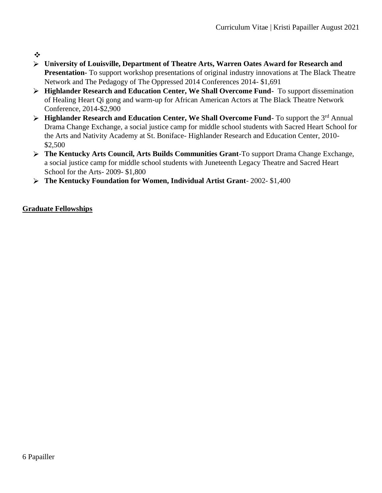- ❖
- **University of Louisville, Department of Theatre Arts, Warren Oates Award for Research and Presentation-** To support workshop presentations of original industry innovations at The Black Theatre Network and The Pedagogy of The Oppressed 2014 Conferences 2014- \$1,691
- **Highlander Research and Education Center, We Shall Overcome Fund-** To support dissemination of Healing Heart Qi gong and warm-up for African American Actors at The Black Theatre Network Conference, 2014-\$2,900
- **EXTEREM** FIGURE 1 **Highlander Research and Education Center, We Shall Overcome Fund-** To support the 3<sup>rd</sup> Annual Drama Change Exchange, a social justice camp for middle school students with Sacred Heart School for the Arts and Nativity Academy at St. Boniface- Highlander Research and Education Center, 2010- \$2,500
- **The Kentucky Arts Council, Arts Builds Communities Grant**-To support Drama Change Exchange, a social justice camp for middle school students with Juneteenth Legacy Theatre and Sacred Heart School for the Arts- 2009- \$1,800
- **The Kentucky Foundation for Women, Individual Artist Grant** 2002- \$1,400

# **Graduate Fellowships**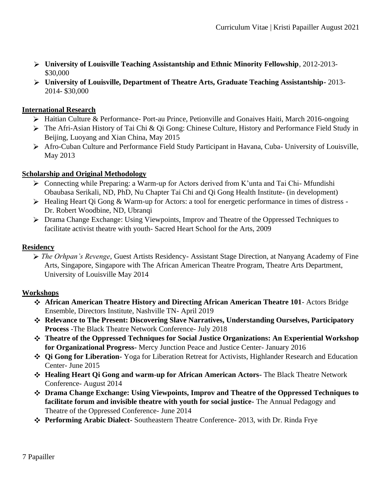- **University of Louisville Teaching Assistantship and Ethnic Minority Fellowship**, 2012-2013- \$30,000
- **University of Louisville, Department of Theatre Arts, Graduate Teaching Assistantship-** 2013- 2014- \$30,000

#### **International Research**

- Haitian Culture & Performance- Port-au Prince, Petionville and Gonaives Haiti, March 2016-ongoing
- The Afri-Asian History of Tai Chi & Qi Gong: Chinese Culture, History and Performance Field Study in Beijing, Luoyang and Xian China, May 2015
- Afro-Cuban Culture and Performance Field Study Participant in Havana, Cuba- University of Louisville, May 2013

#### **Scholarship and Original Methodology**

- Connecting while Preparing: a Warm-up for Actors derived from K'unta and Tai Chi- Mfundishi Obaubasa Serikali, ND, PhD, Nu Chapter Tai Chi and Qi Gong Health Institute- (in development)
- $\triangleright$  Healing Heart Qi Gong & Warm-up for Actors: a tool for energetic performance in times of distress -Dr. Robert Woodbine, ND, Ubranqi
- Drama Change Exchange: Using Viewpoints, Improv and Theatre of the Oppressed Techniques to facilitate activist theatre with youth- Sacred Heart School for the Arts, 2009

#### **Residency**

*The Orhpan's Revenge*, Guest Artists Residency- Assistant Stage Direction, at Nanyang Academy of Fine Arts, Singapore, Singapore with The African American Theatre Program, Theatre Arts Department, University of Louisville May 2014

#### **Workshops**

- **African American Theatre History and Directing African American Theatre 101** Actors Bridge Ensemble, Directors Institute, Nashville TN- April 2019
- **Relevance to The Present: Discovering Slave Narratives, Understanding Ourselves, Participatory Process** -The Black Theatre Network Conference- July 2018
- **Theatre of the Oppressed Techniques for Social Justice Organizations: An Experiential Workshop for Organizational Progress-** Mercy Junction Peace and Justice Center- January 2016
- **Qi Gong for Liberation-** Yoga for Liberation Retreat for Activists, Highlander Research and Education Center- June 2015
- **Healing Heart Qi Gong and warm-up for African American Actors-** The Black Theatre Network Conference- August 2014
- **Drama Change Exchange: Using Viewpoints, Improv and Theatre of the Oppressed Techniques to facilitate forum and invisible theatre with youth for social justice-** The Annual Pedagogy and Theatre of the Oppressed Conference- June 2014
- **Performing Arabic Dialect-** Southeastern Theatre Conference- 2013, with Dr. Rinda Frye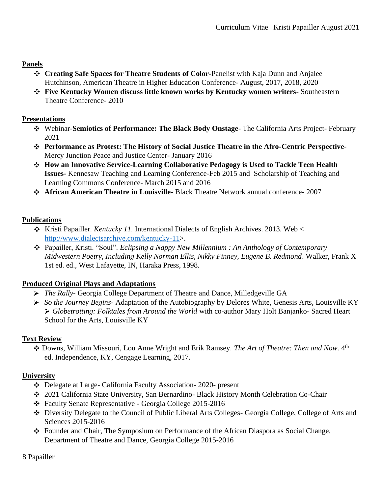# **Panels**

- **Creating Safe Spaces for Theatre Students of Color-**Panelist with Kaja Dunn and Anjalee Hutchinson, American Theatre in Higher Education Conference- August, 2017, 2018, 2020
- **Five Kentucky Women discuss little known works by Kentucky women writers-** Southeastern Theatre Conference- 2010

#### **Presentations**

- Webinar-**Semiotics of Performance: The Black Body Onstage** The California Arts Project- February 2021
- **Performance as Protest: The History of Social Justice Theatre in the Afro-Centric Perspective**-Mercy Junction Peace and Justice Center- January 2016
- **How an Innovative Service-Learning Collaborative Pedagogy is Used to Tackle Teen Health Issues-** Kennesaw Teaching and Learning Conference-Feb 2015 and Scholarship of Teaching and Learning Commons Conference- March 2015 and 2016
- **African American Theatre in Louisville** Black Theatre Network annual conference- 2007

# **Publications**

- \* Kristi Papailler. *Kentucky 11*. International Dialects of English Archives. 2013. Web < [http://www.dialectsarchive.com/kentucky-11>.](http://www.dialectsarchive.com/kentucky-11)
- Papailler, Kristi. "Soul". *Eclipsing a Nappy New Millennium : An Anthology of Contemporary Midwestern Poetry, Including Kelly Norman Ellis, Nikky Finney, Eugene B. Redmond*. Walker, Frank X 1st ed. ed., West Lafayette, IN, Haraka Press, 1998.

#### **Produced Original Plays and Adaptations**

- *The Rally-* Georgia College Department of Theatre and Dance, Milledgeville GA
- *So the Journey Begins-* Adaptation of the Autobiography by Delores White*,* Genesis Arts, Louisville KY *Globetrotting: Folktales from Around the World* with co-author Mary Holt Banjanko- Sacred Heart School for the Arts, Louisville KY

# **Text Review**

Downs, William Missouri, Lou Anne Wright and Erik Ramsey. The Art of Theatre: Then and Now. 4<sup>th</sup> ed. Independence, KY, Cengage Learning, 2017.

# **University**

- Delegate at Large- California Faculty Association- 2020- present
- 2021 California State University, San Bernardino- Black History Month Celebration Co-Chair
- Faculty Senate Representative Georgia College 2015-2016
- Diversity Delegate to the Council of Public Liberal Arts Colleges- Georgia College, College of Arts and Sciences 2015-2016
- Founder and Chair, The Symposium on Performance of the African Diaspora as Social Change, Department of Theatre and Dance, Georgia College 2015-2016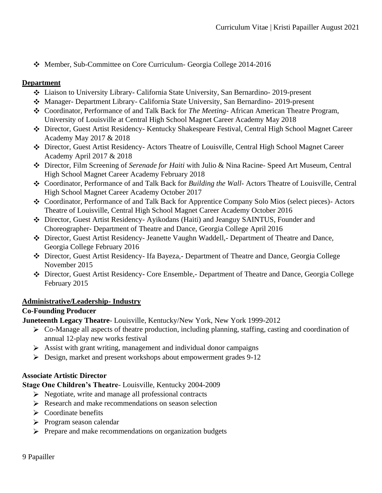Member, Sub-Committee on Core Curriculum- Georgia College 2014-2016

#### **Department**

- Liaison to University Library- California State University, San Bernardino- 2019-present
- Manager- Department Library- California State University, San Bernardino- 2019-present
- Coordinator, Performance of and Talk Back for *The Meeting* African American Theatre Program, University of Louisville at Central High School Magnet Career Academy May 2018
- Director, Guest Artist Residency- Kentucky Shakespeare Festival, Central High School Magnet Career Academy May 2017 & 2018
- Director, Guest Artist Residency- Actors Theatre of Louisville, Central High School Magnet Career Academy April 2017 & 2018
- Director, Film Screening of *Serenade for Haiti* with Julio & Nina Racine- Speed Art Museum, Central High School Magnet Career Academy February 2018
- Coordinator, Performance of and Talk Back for *Building the Wall-* Actors Theatre of Louisville, Central High School Magnet Career Academy October 2017
- Coordinator, Performance of and Talk Back for Apprentice Company Solo Mios (select pieces)- Actors Theatre of Louisville, Central High School Magnet Career Academy October 2016
- Director, Guest Artist Residency- Ayikodans (Haiti) and Jeanguy SAINTUS, Founder and Choreographer- Department of Theatre and Dance, Georgia College April 2016
- Director, Guest Artist Residency- Jeanette Vaughn Waddell,- Department of Theatre and Dance, Georgia College February 2016
- Director, Guest Artist Residency- Ifa Bayeza,- Department of Theatre and Dance, Georgia College November 2015
- Director, Guest Artist Residency- Core Ensemble,- Department of Theatre and Dance, Georgia College February 2015

#### **Administrative/Leadership- Industry**

#### **Co-Founding Producer**

**Juneteenth Legacy Theatre**- Louisville, Kentucky/New York, New York 1999-2012

- Co-Manage all aspects of theatre production, including planning, staffing, casting and coordination of annual 12-play new works festival
- $\triangleright$  Assist with grant writing, management and individual donor campaigns
- Design, market and present workshops about empowerment grades 9-12

#### **Associate Artistic Director**

**Stage One Children's Theatre**- Louisville, Kentucky 2004-2009

- $\triangleright$  Negotiate, write and manage all professional contracts
- Research and make recommendations on season selection
- $\triangleright$  Coordinate benefits
- $\triangleright$  Program season calendar
- $\triangleright$  Prepare and make recommendations on organization budgets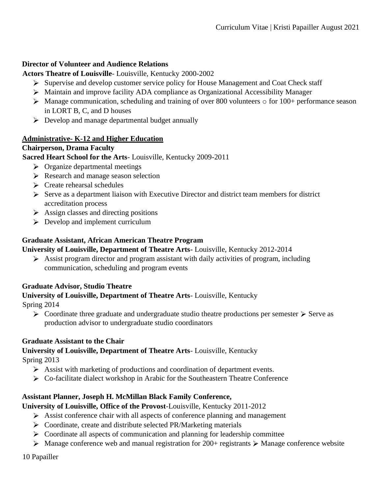#### **Director of Volunteer and Audience Relations**

**Actors Theatre of Louisville**- Louisville, Kentucky 2000-2002

- Supervise and develop customer service policy for House Management and Coat Check staff
- Maintain and improve facility ADA compliance as Organizational Accessibility Manager
- Manage communication, scheduling and training of over 800 volunteers o for 100+ performance season in LORT B, C, and D houses
- Develop and manage departmental budget annually

#### **Administrative- K-12 and Higher Education**

#### **Chairperson, Drama Faculty**

**Sacred Heart School for the Arts**- Louisville, Kentucky 2009-2011

- $\triangleright$  Organize departmental meetings
- Research and manage season selection
- $\triangleright$  Create rehearsal schedules
- $\triangleright$  Serve as a department liaison with Executive Director and district team members for district accreditation process
- $\triangleright$  Assign classes and directing positions
- $\triangleright$  Develop and implement curriculum

# **Graduate Assistant, African American Theatre Program**

#### **University of Louisville, Department of Theatre Arts-** Louisville, Kentucky 2012-2014

Assist program director and program assistant with daily activities of program, including communication, scheduling and program events

#### **Graduate Advisor, Studio Theatre**

**University of Louisville, Department of Theatre Arts**- Louisville, Kentucky

Spring 2014

 $\triangleright$  Coordinate three graduate and undergraduate studio theatre productions per semester  $\triangleright$  Serve as production advisor to undergraduate studio coordinators

#### **Graduate Assistant to the Chair**

# **University of Louisville, Department of Theatre Arts**- Louisville, Kentucky

Spring 2013

- Assist with marketing of productions and coordination of department events.
- Co-facilitate dialect workshop in Arabic for the Southeastern Theatre Conference

# **Assistant Planner, Joseph H. McMillan Black Family Conference,**

#### **University of Louisville, Office of the Provost**-Louisville, Kentucky 2011-2012

- $\triangleright$  Assist conference chair with all aspects of conference planning and management
- Coordinate, create and distribute selected PR/Marketing materials
- $\triangleright$  Coordinate all aspects of communication and planning for leadership committee
- $\triangleright$  Manage conference web and manual registration for 200+ registrants  $\triangleright$  Manage conference website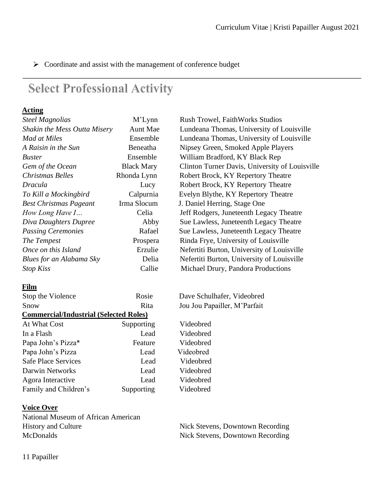> Coordinate and assist with the management of conference budget

# **Select Professional Activity**

#### **Acting**

| <b>Steel Magnolias</b>                        | M'Lynn            | <b>Rush Trowel, FaithWorks Studios</b>         |  |  |
|-----------------------------------------------|-------------------|------------------------------------------------|--|--|
| Shakin the Mess Outta Misery                  | <b>Aunt Mae</b>   | Lundeana Thomas, University of Louisville      |  |  |
| <b>Mad at Miles</b>                           | Ensemble          | Lundeana Thomas, University of Louisville      |  |  |
| A Raisin in the Sun                           | Beneatha          | Nipsey Green, Smoked Apple Players             |  |  |
| <b>Buster</b>                                 | Ensemble          | William Bradford, KY Black Rep                 |  |  |
| Gem of the Ocean                              | <b>Black Mary</b> | Clinton Turner Davis, University of Louisville |  |  |
| <b>Christmas Belles</b>                       | Rhonda Lynn       | Robert Brock, KY Repertory Theatre             |  |  |
| Dracula                                       | Lucy              | Robert Brock, KY Repertory Theatre             |  |  |
| To Kill a Mockingbird                         | Calpurnia         | Evelyn Blythe, KY Repertory Theatre            |  |  |
| <b>Best Christmas Pageant</b>                 | Irma Slocum       | J. Daniel Herring, Stage One                   |  |  |
| How Long Have I                               | Celia             | Jeff Rodgers, Juneteenth Legacy Theatre        |  |  |
| Diva Daughters Dupree                         | Abby              | Sue Lawless, Juneteenth Legacy Theatre         |  |  |
| <b>Passing Ceremonies</b>                     | Rafael            | Sue Lawless, Juneteenth Legacy Theatre         |  |  |
| The Tempest                                   | Prospera          | Rinda Frye, University of Louisville           |  |  |
| Once on this Island                           | Erzulie           | Nefertiti Burton, University of Louisville     |  |  |
| Blues for an Alabama Sky                      | Delia             | Nefertiti Burton, University of Louisville     |  |  |
| <b>Stop Kiss</b>                              | Callie            | Michael Drury, Pandora Productions             |  |  |
| Film                                          |                   |                                                |  |  |
| Stop the Violence                             | Rosie             | Dave Schulhafer, Videobred                     |  |  |
| Snow                                          | Rita              | Jou Jou Papailler, M'Parfait                   |  |  |
| <b>Commercial/Industrial (Selected Roles)</b> |                   |                                                |  |  |
| At What Cost                                  | Supporting        | Videobred                                      |  |  |
| In a Flash                                    | Lead              | Videobred                                      |  |  |
| Papa John's Pizza*                            | Feature           | Videobred                                      |  |  |
| Papa John's Pizza                             | Lead              | Videobred                                      |  |  |
| <b>Safe Place Services</b>                    | Lead              | Videobred                                      |  |  |
| <b>Darwin Networks</b>                        | Lead              | Videobred                                      |  |  |
| Agora Interactive                             | Lead              | Videobred                                      |  |  |
| Family and Children's                         | Supporting        | Videobred                                      |  |  |
|                                               |                   |                                                |  |  |

#### **Voice Over**

National Museum of African American History and Culture Nick Stevens, Downtown Recording McDonalds Nick Stevens, Downtown Recording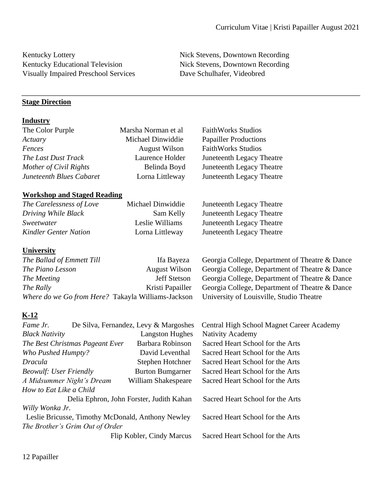Kentucky Educational Television Nick Stevens, Downtown Recording Visually Impaired Preschool Services Dave Schulhafer, Videobred

Kentucky Lottery **Nick Stevens, Downtown Recording** 

# **Stage Direction**

# **Industry**

| The Color Purple                                   | Marsha Norman et al                   | <b>FaithWorks Studios</b>                      |
|----------------------------------------------------|---------------------------------------|------------------------------------------------|
| Actuary                                            | Michael Dinwiddie                     | <b>Papailler Productions</b>                   |
| Fences                                             | <b>August Wilson</b>                  | <b>FaithWorks Studios</b>                      |
| The Last Dust Track                                | Laurence Holder                       | Juneteenth Legacy Theatre                      |
| Mother of Civil Rights                             | Belinda Boyd                          | Juneteenth Legacy Theatre                      |
| <b>Juneteenth Blues Cabaret</b>                    | Lorna Littleway                       | Juneteenth Legacy Theatre                      |
|                                                    |                                       |                                                |
| <b>Workshop and Staged Reading</b>                 |                                       |                                                |
| The Carelessness of Love                           | Michael Dinwiddie                     | Juneteenth Legacy Theatre                      |
| Driving While Black                                | Sam Kelly                             | Juneteenth Legacy Theatre                      |
| Sweetwater                                         | Leslie Williams                       | Juneteenth Legacy Theatre                      |
| <b>Kindler Genter Nation</b>                       | Lorna Littleway                       | Juneteenth Legacy Theatre                      |
|                                                    |                                       |                                                |
| <b>University</b>                                  |                                       |                                                |
| The Ballad of Emmett Till                          | Ifa Bayeza                            | Georgia College, Department of Theatre & Dance |
| The Piano Lesson                                   | <b>August Wilson</b>                  | Georgia College, Department of Theatre & Dance |
| The Meeting                                        | <b>Jeff Stetson</b>                   | Georgia College, Department of Theatre & Dance |
| The Rally                                          | Kristi Papailler                      | Georgia College, Department of Theatre & Dance |
| Where do we Go from Here? Takayla Williams-Jackson |                                       | University of Louisville, Studio Theatre       |
|                                                    |                                       |                                                |
| $K-12$                                             |                                       |                                                |
| Fame Jr.                                           | De Silva, Fernandez, Levy & Margoshes | Central High School Magnet Career Academy      |
| <b>Black Nativity</b>                              | <b>Langston Hughes</b>                | Nativity Academy                               |
| The Best Christmas Pageant Ever                    | Barbara Robinson                      | Sacred Heart School for the Arts               |
| Who Pushed Humpty?                                 | David Leventhal                       | Sacred Heart School for the Arts               |
| <b>Dracula</b>                                     | Stephen Hotchner                      | Sacred Heart School for the Arts               |
| <b>Beowulf: User Friendly</b>                      | <b>Burton Bumgarner</b>               | Sacred Heart School for the Arts               |
| A Midsummer Night's Dream                          | William Shakespeare                   | Sacred Heart School for the Arts               |
| How to Eat Like a Child                            |                                       |                                                |
| Delia Ephron, John Forster, Judith Kahan           |                                       | Sacred Heart School for the Arts               |
| Willy Wonka Jr.                                    |                                       |                                                |
| Leslie Bricusse, Timothy McDonald, Anthony Newley  |                                       | Sacred Heart School for the Arts               |
| The Brother's Grim Out of Order                    |                                       |                                                |
|                                                    | Flip Kobler, Cindy Marcus             | Sacred Heart School for the Arts               |
|                                                    |                                       |                                                |